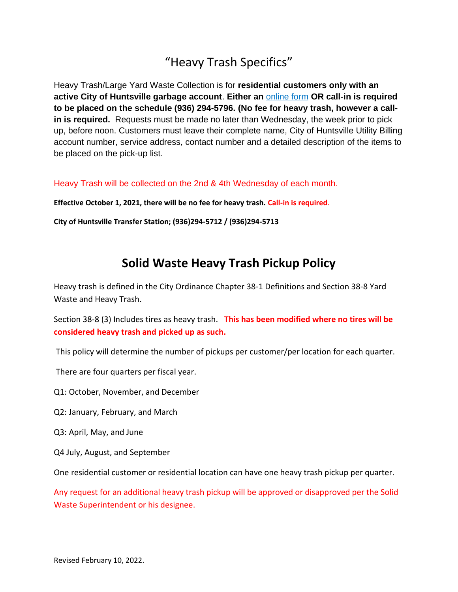# "Heavy Trash Specifics"

Heavy Trash/Large Yard Waste Collection is for **residential customers only with an active City of Huntsville garbage account**. **Either an** [online form](https://www.huntsvilletx.gov/FormCenter/Public-Works-3/Heavy-Trash-PickUp-Request-43) **OR call-in is required to be placed on the schedule (936) 294-5796. (No fee for heavy trash, however a callin is required.** Requests must be made no later than Wednesday, the week prior to pick up, before noon. Customers must leave their complete name, City of Huntsville Utility Billing account number, service address, contact number and a detailed description of the items to be placed on the pick-up list.

Heavy Trash will be collected on the 2nd & 4th Wednesday of each month.

**Effective October 1, 2021, there will be no fee for heavy trash. Call-in is required**.

**City of Huntsville Transfer Station; (936)294-5712 / (936)294-5713**

## **Solid Waste Heavy Trash Pickup Policy**

Heavy trash is defined in the City Ordinance Chapter 38-1 Definitions and Section 38-8 Yard Waste and Heavy Trash.

Section 38-8 (3) Includes tires as heavy trash. **This has been modified where no tires will be considered heavy trash and picked up as such.** 

This policy will determine the number of pickups per customer/per location for each quarter.

There are four quarters per fiscal year.

Q1: October, November, and December

Q2: January, February, and March

Q3: April, May, and June

Q4 July, August, and September

One residential customer or residential location can have one heavy trash pickup per quarter.

Any request for an additional heavy trash pickup will be approved or disapproved per the Solid Waste Superintendent or his designee.